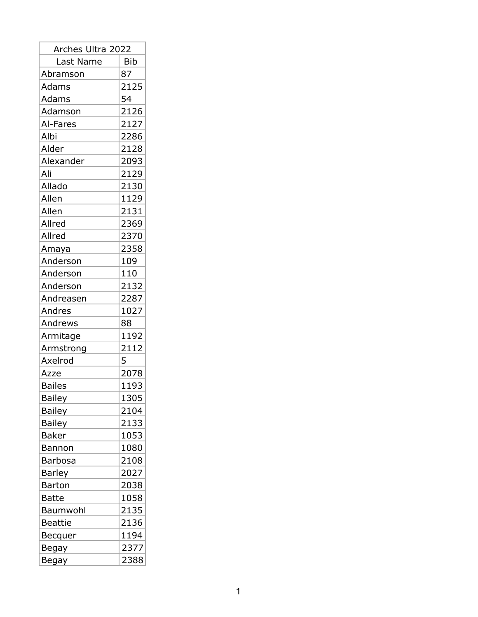| Arches Ultra 2022                                                                                                                                                                                                                                                                                                                                                                                                                                                       |            |
|-------------------------------------------------------------------------------------------------------------------------------------------------------------------------------------------------------------------------------------------------------------------------------------------------------------------------------------------------------------------------------------------------------------------------------------------------------------------------|------------|
| Last Name                                                                                                                                                                                                                                                                                                                                                                                                                                                               | <b>Bib</b> |
| Abramson                                                                                                                                                                                                                                                                                                                                                                                                                                                                | 87         |
| Adams                                                                                                                                                                                                                                                                                                                                                                                                                                                                   | 2125       |
| Adams                                                                                                                                                                                                                                                                                                                                                                                                                                                                   | 54         |
| Adamson                                                                                                                                                                                                                                                                                                                                                                                                                                                                 | 2126       |
| Al-Fares                                                                                                                                                                                                                                                                                                                                                                                                                                                                | 2127       |
| Albi                                                                                                                                                                                                                                                                                                                                                                                                                                                                    | 2286       |
| Alder                                                                                                                                                                                                                                                                                                                                                                                                                                                                   | 2128       |
| Alexander                                                                                                                                                                                                                                                                                                                                                                                                                                                               | 2093       |
| Ali                                                                                                                                                                                                                                                                                                                                                                                                                                                                     | 2129       |
| Allado                                                                                                                                                                                                                                                                                                                                                                                                                                                                  | 2130       |
| Allen                                                                                                                                                                                                                                                                                                                                                                                                                                                                   | 1129       |
| Allen                                                                                                                                                                                                                                                                                                                                                                                                                                                                   | 2131       |
| Allred                                                                                                                                                                                                                                                                                                                                                                                                                                                                  | 2369       |
| Allred                                                                                                                                                                                                                                                                                                                                                                                                                                                                  | 2370       |
| Amaya                                                                                                                                                                                                                                                                                                                                                                                                                                                                   | 2358       |
| Anderson                                                                                                                                                                                                                                                                                                                                                                                                                                                                | 109        |
| Anderson                                                                                                                                                                                                                                                                                                                                                                                                                                                                | 110        |
| Anderson                                                                                                                                                                                                                                                                                                                                                                                                                                                                | 2132       |
| Andreasen                                                                                                                                                                                                                                                                                                                                                                                                                                                               | 2287       |
| Andres                                                                                                                                                                                                                                                                                                                                                                                                                                                                  | 1027       |
| Andrews                                                                                                                                                                                                                                                                                                                                                                                                                                                                 | 88         |
| Armitage                                                                                                                                                                                                                                                                                                                                                                                                                                                                | 1192       |
| Armstrong                                                                                                                                                                                                                                                                                                                                                                                                                                                               | 2112       |
| Axelrod                                                                                                                                                                                                                                                                                                                                                                                                                                                                 | 5          |
| Azze                                                                                                                                                                                                                                                                                                                                                                                                                                                                    | 2078       |
| <b>Bailes</b>                                                                                                                                                                                                                                                                                                                                                                                                                                                           | 1193       |
| <b>Bailey</b><br>$\label{eq:2.1} \frac{1}{\sqrt{2}}\left(\frac{1}{\sqrt{2}}\right)^{2} \left(\frac{1}{\sqrt{2}}\right)^{2} \left(\frac{1}{\sqrt{2}}\right)^{2} \left(\frac{1}{\sqrt{2}}\right)^{2} \left(\frac{1}{\sqrt{2}}\right)^{2} \left(\frac{1}{\sqrt{2}}\right)^{2} \left(\frac{1}{\sqrt{2}}\right)^{2} \left(\frac{1}{\sqrt{2}}\right)^{2} \left(\frac{1}{\sqrt{2}}\right)^{2} \left(\frac{1}{\sqrt{2}}\right)^{2} \left(\frac{1}{\sqrt{2}}\right)^{2} \left(\$ | 1305       |
| Bailey                                                                                                                                                                                                                                                                                                                                                                                                                                                                  | 2104       |
| <b>Bailey</b>                                                                                                                                                                                                                                                                                                                                                                                                                                                           | 2133       |
| Baker                                                                                                                                                                                                                                                                                                                                                                                                                                                                   | 1053       |
| Bannon                                                                                                                                                                                                                                                                                                                                                                                                                                                                  | 1080       |
| Barbosa                                                                                                                                                                                                                                                                                                                                                                                                                                                                 | 2108       |
| Barley                                                                                                                                                                                                                                                                                                                                                                                                                                                                  | 2027       |
| <b>Barton</b>                                                                                                                                                                                                                                                                                                                                                                                                                                                           | 2038       |
| Batte                                                                                                                                                                                                                                                                                                                                                                                                                                                                   | 1058       |
| Baumwohl                                                                                                                                                                                                                                                                                                                                                                                                                                                                | 2135       |
| <b>Beattie</b>                                                                                                                                                                                                                                                                                                                                                                                                                                                          | 2136       |
| Becquer                                                                                                                                                                                                                                                                                                                                                                                                                                                                 | 1194       |
| Begay                                                                                                                                                                                                                                                                                                                                                                                                                                                                   | 2377       |
| Begay                                                                                                                                                                                                                                                                                                                                                                                                                                                                   | 2388       |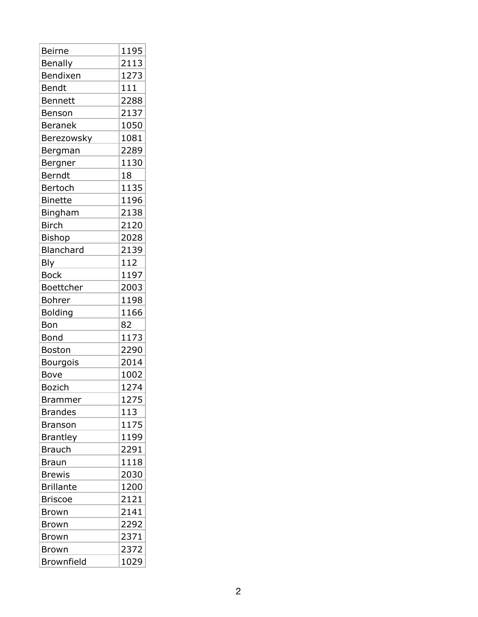| <b>Beirne</b>     | 1195 |
|-------------------|------|
| Benally           | 2113 |
| Bendixen          | 1273 |
| Bendt             | 111  |
| <b>Bennett</b>    | 2288 |
| Benson            | 2137 |
| <b>Beranek</b>    | 1050 |
| Berezowsky        | 1081 |
| Bergman           | 2289 |
| Bergner           | 1130 |
| Berndt            | 18   |
| Bertoch           | 1135 |
| <b>Binette</b>    | 1196 |
| Bingham           | 2138 |
| <b>Birch</b>      | 2120 |
| <b>Bishop</b>     | 2028 |
| Blanchard         | 2139 |
| <b>Bly</b>        | 112  |
| <b>Bock</b>       | 1197 |
| Boettcher         | 2003 |
| <b>Bohrer</b>     | 1198 |
| <b>Bolding</b>    | 1166 |
| Bon               | 82   |
| Bond              | 1173 |
| <b>Boston</b>     | 2290 |
| <b>Bourgois</b>   | 2014 |
| Bove              | 1002 |
| <b>Bozich</b>     | 1274 |
| <b>Brammer</b>    | 1275 |
| <b>Brandes</b>    | 113  |
| <b>Branson</b>    | 1175 |
| <b>Brantley</b>   | 1199 |
| <b>Brauch</b>     | 2291 |
| <b>Braun</b>      | 1118 |
| <b>Brewis</b>     | 2030 |
| <b>Brillante</b>  | 1200 |
| <b>Briscoe</b>    | 2121 |
| <b>Brown</b>      | 2141 |
| <b>Brown</b>      | 2292 |
| <b>Brown</b>      | 2371 |
| <b>Brown</b>      | 2372 |
| <b>Brownfield</b> | 1029 |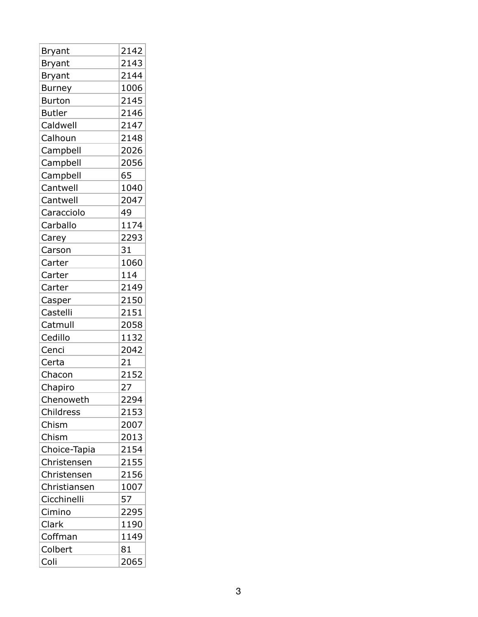| <b>Bryant</b> | 2142 |
|---------------|------|
| <b>Bryant</b> | 2143 |
| <b>Bryant</b> | 2144 |
| <b>Burney</b> | 1006 |
| <b>Burton</b> | 2145 |
| <b>Butler</b> | 2146 |
| Caldwell      | 2147 |
| Calhoun       | 2148 |
| Campbell      | 2026 |
| Campbell      | 2056 |
| Campbell      | 65   |
| Cantwell      | 1040 |
| Cantwell      | 2047 |
| Caracciolo    | 49   |
| Carballo      | 1174 |
| Carey         | 2293 |
| Carson        | 31   |
| Carter        | 1060 |
| Carter        | 114  |
| Carter        | 2149 |
| Casper        | 2150 |
| Castelli      | 2151 |
| Catmull       | 2058 |
| Cedillo       | 1132 |
| Cenci         | 2042 |
| Certa         | 21   |
| Chacon        | 2152 |
| Chapiro       | 27   |
| Chenoweth     | 2294 |
| Childress     | 2153 |
| Chism         | 2007 |
| Chism         | 2013 |
| Choice-Tapia  | 2154 |
| Christensen   | 2155 |
| Christensen   | 2156 |
| Christiansen  | 1007 |
| Cicchinelli   | 57   |
| Cimino        | 2295 |
| Clark         | 1190 |
| Coffman       | 1149 |
| Colbert       | 81   |
| Coli          | 2065 |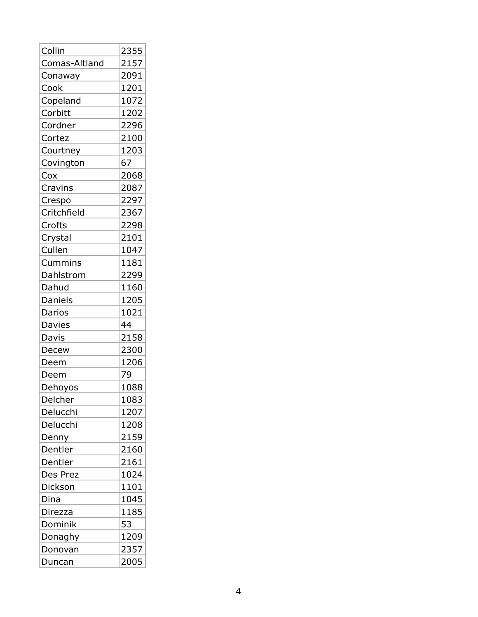| Collin        | 2355 |
|---------------|------|
| Comas-Altland | 2157 |
| Conaway       | 2091 |
| Cook          | 1201 |
| Copeland      | 1072 |
| Corbitt       | 1202 |
| Cordner       | 2296 |
| Cortez        | 2100 |
| Courtney      | 1203 |
| Covington     | 67   |
| Cox           | 2068 |
| Cravins       | 2087 |
| Crespo        | 2297 |
| Critchfield   | 2367 |
| Crofts        | 2298 |
| Crystal       | 2101 |
| Cullen        | 1047 |
| Cummins       | 1181 |
| Dahlstrom     | 2299 |
| Dahud         | 1160 |
| Daniels       | 1205 |
| Darios        | 1021 |
| Davies        | 44   |
| Davis         | 2158 |
| Decew         | 2300 |
| Deem          | 1206 |
| Deem          | 79   |
| Dehoyos       | 1088 |
| Delcher       | 1083 |
| Delucchi      | 1207 |
| Delucchi      | 1208 |
| Denny         | 2159 |
| Dentler       | 2160 |
| Dentler       | 2161 |
| Des Prez      | 1024 |
| Dickson       | 1101 |
| Dina          | 1045 |
| Direzza       | 1185 |
| Dominik       | 53   |
| Donaghy       | 1209 |
| Donovan       | 2357 |
| Duncan        | 2005 |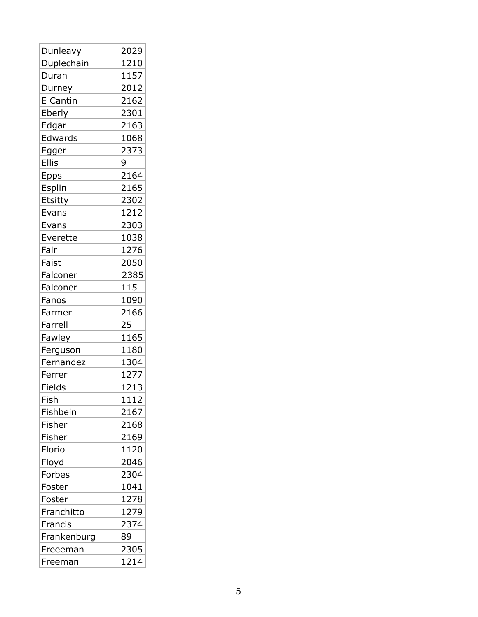| Dunleavy        | 2029 |
|-----------------|------|
| Duplechain      | 1210 |
| Duran           | 1157 |
| Durney          | 2012 |
| <b>E</b> Cantin | 2162 |
| Eberly          | 2301 |
| Edgar           | 2163 |
| Edwards         | 1068 |
| Egger           | 2373 |
| <b>Ellis</b>    | 9    |
| Epps            | 2164 |
| Esplin          | 2165 |
| Etsitty         | 2302 |
| Evans           | 1212 |
| Evans           | 2303 |
| Everette        | 1038 |
| Fair            | 1276 |
| Faist           | 2050 |
| Falconer        | 2385 |
| Falconer        | 115  |
| Fanos           | 1090 |
| Farmer          | 2166 |
| Farrell         | 25   |
| Fawley          | 1165 |
| Ferguson        | 1180 |
| Fernandez       | 1304 |
| Ferrer          | 1277 |
| Fields          | 1213 |
| Fish            | 1112 |
| Fishbein        | 2167 |
| Fisher          | 2168 |
| Fisher          | 2169 |
| Florio          | 1120 |
| Floyd           | 2046 |
| Forbes          | 2304 |
| Foster          | 1041 |
| Foster          | 1278 |
| Franchitto      | 1279 |
| Francis         | 2374 |
| Frankenburg     | 89   |
| Freeeman        | 2305 |
| Freeman         | 1214 |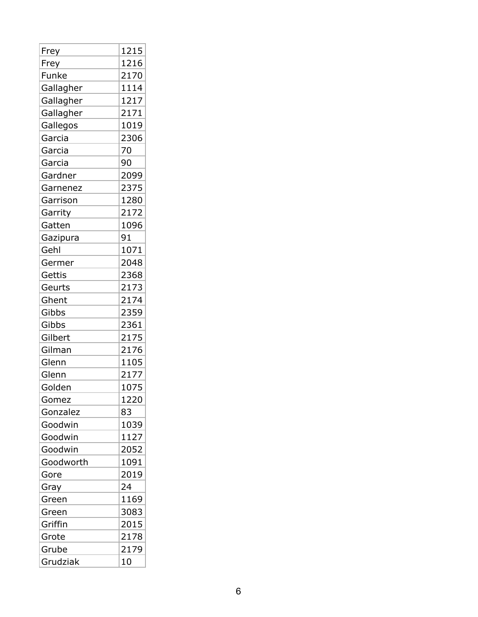| Frey      | 1215 |
|-----------|------|
| Frey      | 1216 |
| Funke     | 2170 |
| Gallagher | 1114 |
| Gallagher | 1217 |
| Gallagher | 2171 |
| Gallegos  | 1019 |
| Garcia    | 2306 |
| Garcia    | 70   |
| Garcia    | 90   |
| Gardner   | 2099 |
| Garnenez  | 2375 |
| Garrison  | 1280 |
| Garrity   | 2172 |
| Gatten    | 1096 |
| Gazipura  | 91   |
| Gehl      | 1071 |
| Germer    | 2048 |
| Gettis    | 2368 |
| Geurts    | 2173 |
| Ghent     | 2174 |
| Gibbs     | 2359 |
| Gibbs     | 2361 |
| Gilbert   | 2175 |
| Gilman    | 2176 |
| Glenn     | 1105 |
| Glenn     | 2177 |
| Golden    | 1075 |
| Gomez     | 1220 |
| Gonzalez  | 83   |
| Goodwin   | 1039 |
| Goodwin   | 1127 |
| Goodwin   | 2052 |
| Goodworth | 1091 |
| Gore      | 2019 |
| Gray      | 24   |
| Green     | 1169 |
| Green     | 3083 |
| Griffin   | 2015 |
| Grote     | 2178 |
| Grube     | 2179 |
| Grudziak  | 10   |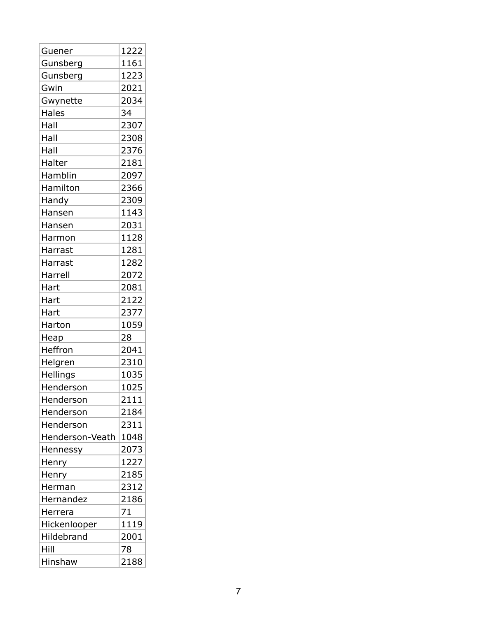| Guener          | 1222 |
|-----------------|------|
| Gunsberg        | 1161 |
| Gunsberg        | 1223 |
| Gwin            | 2021 |
| Gwynette        | 2034 |
| <b>Hales</b>    | 34   |
| Hall            | 2307 |
| Hall            | 2308 |
| Hall            | 2376 |
| Halter          | 2181 |
| Hamblin         | 2097 |
| Hamilton        | 2366 |
| Handy           | 2309 |
| Hansen          | 1143 |
| Hansen          | 2031 |
| Harmon          | 1128 |
| Harrast         | 1281 |
| Harrast         | 1282 |
| Harrell         | 2072 |
| Hart            | 2081 |
| Hart            | 2122 |
| Hart            | 2377 |
| Harton          | 1059 |
| Heap            | 28   |
| Heffron         | 2041 |
| Helgren         | 2310 |
| Hellings        | 1035 |
| Henderson       | 1025 |
| Henderson       | 2111 |
| Henderson       | 2184 |
| Henderson       | 2311 |
| Henderson-Veath | 1048 |
| Hennessy        | 2073 |
| Henry           | 1227 |
| Henry           | 2185 |
| Herman          | 2312 |
| Hernandez       | 2186 |
| Herrera         | 71   |
| Hickenlooper    | 1119 |
| Hildebrand      | 2001 |
| Hill            | 78   |
| Hinshaw         | 2188 |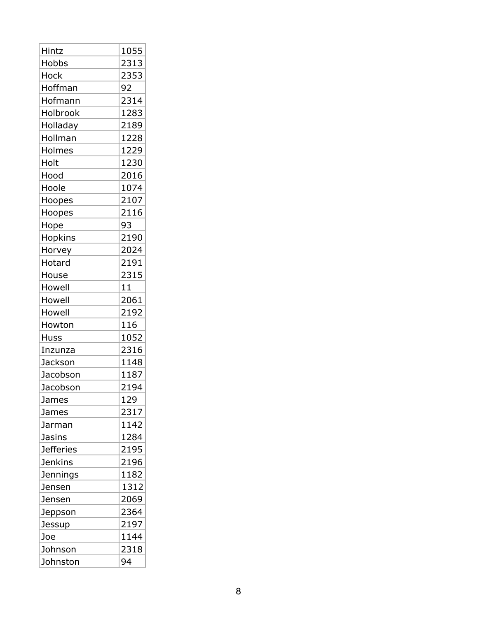| Hintz            | 1055 |
|------------------|------|
| Hobbs            | 2313 |
| Hock             | 2353 |
| Hoffman          | 92   |
| Hofmann          | 2314 |
| Holbrook         | 1283 |
| Holladay         | 2189 |
| Hollman          | 1228 |
| Holmes           | 1229 |
| Holt             | 1230 |
| Hood             | 2016 |
| Hoole            | 1074 |
| Hoopes           | 2107 |
| Hoopes           | 2116 |
| Hope             | 93   |
| <b>Hopkins</b>   | 2190 |
| Horvey           | 2024 |
| Hotard           | 2191 |
| House            | 2315 |
| Howell           | 11   |
| Howell           | 2061 |
| Howell           | 2192 |
| Howton           | 116  |
| Huss             | 1052 |
| Inzunza          | 2316 |
| Jackson          | 1148 |
| Jacobson         | 1187 |
| Jacobson         | 2194 |
| James            | 129  |
| James            | 2317 |
| Jarman           | 1142 |
| <b>Jasins</b>    | 1284 |
| <b>Jefferies</b> | 2195 |
| <b>Jenkins</b>   | 2196 |
| Jennings         | 1182 |
| Jensen           | 1312 |
| Jensen           | 2069 |
| Jeppson          | 2364 |
| Jessup           | 2197 |
| Joe              | 1144 |
| Johnson          | 2318 |
| Johnston         | 94   |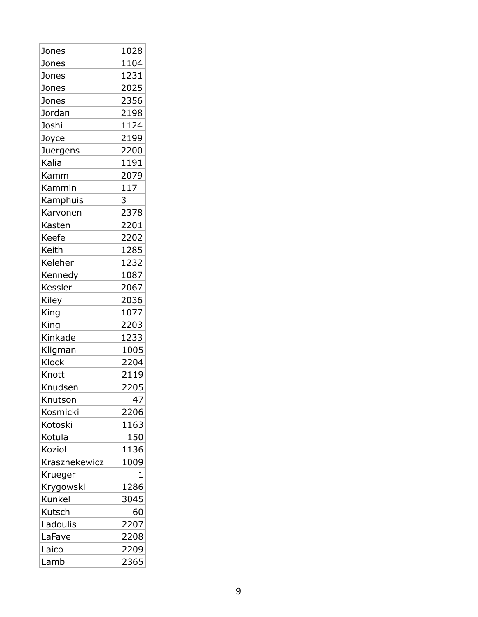| Jones         | 1028 |
|---------------|------|
| Jones         | 1104 |
| Jones         | 1231 |
| Jones         | 2025 |
| Jones         | 2356 |
| Jordan        | 2198 |
| Joshi         | 1124 |
| Joyce         | 2199 |
| Juergens      | 2200 |
| Kalia         | 1191 |
| Kamm          | 2079 |
| Kammin        | 117  |
| Kamphuis      | 3    |
| Karvonen      | 2378 |
| Kasten        | 2201 |
| Keefe         | 2202 |
| Keith         | 1285 |
| Keleher       | 1232 |
| Kennedy       | 1087 |
| Kessler       | 2067 |
| Kiley         | 2036 |
| King          | 1077 |
| King          | 2203 |
| Kinkade       | 1233 |
| Kligman       | 1005 |
| <b>Klock</b>  | 2204 |
| Knott         | 2119 |
| Knudsen       | 2205 |
| Knutson       | 47   |
| Kosmicki      | 2206 |
| Kotoski       | 1163 |
| Kotula        | 150  |
| Koziol        | 1136 |
| Krasznekewicz | 1009 |
| Krueger       | 1    |
| Krygowski     | 1286 |
| Kunkel        | 3045 |
| Kutsch        | 60   |
| Ladoulis      | 2207 |
| LaFave        | 2208 |
| Laico         | 2209 |
| Lamb          | 2365 |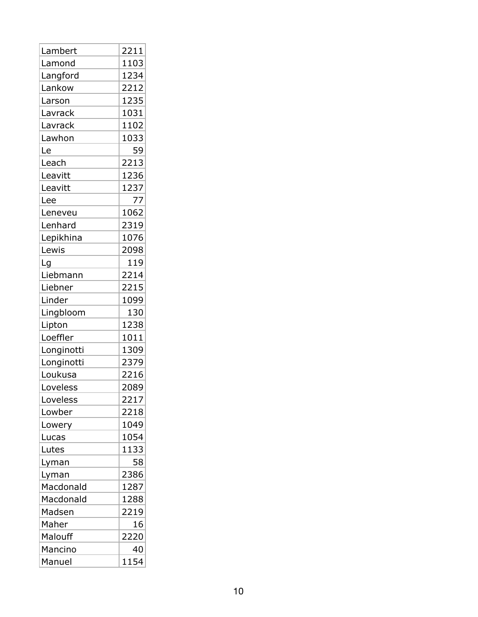| Lambert    | 2211 |  |
|------------|------|--|
| Lamond     | 1103 |  |
| Langford   | 1234 |  |
| Lankow     | 2212 |  |
| Larson     | 1235 |  |
| Lavrack    | 1031 |  |
| Lavrack    | 1102 |  |
| Lawhon     | 1033 |  |
| Le         | 59   |  |
| Leach      | 2213 |  |
| Leavitt    | 1236 |  |
| Leavitt    | 1237 |  |
| Lee        | 77   |  |
| Leneveu    | 1062 |  |
| Lenhard    | 2319 |  |
| Lepikhina  | 1076 |  |
| Lewis      | 2098 |  |
| Lg         | 119  |  |
| Liebmann   | 2214 |  |
| Liebner    | 2215 |  |
| Linder     | 1099 |  |
| Lingbloom  | 130  |  |
| Lipton     | 1238 |  |
| Loeffler   | 1011 |  |
| Longinotti | 1309 |  |
| Longinotti | 2379 |  |
| Loukusa    | 2216 |  |
| Loveless   | 2089 |  |
| Loveless   | 2217 |  |
| Lowber     | 2218 |  |
| Lowery     | 1049 |  |
| Lucas      | 1054 |  |
| Lutes      | 1133 |  |
| Lyman      | 58   |  |
| Lyman      | 2386 |  |
| Macdonald  | 1287 |  |
| Macdonald  | 1288 |  |
| Madsen     | 2219 |  |
| Maher      | 16   |  |
| Malouff    | 2220 |  |
| Mancino    | 40   |  |
| Manuel     | 1154 |  |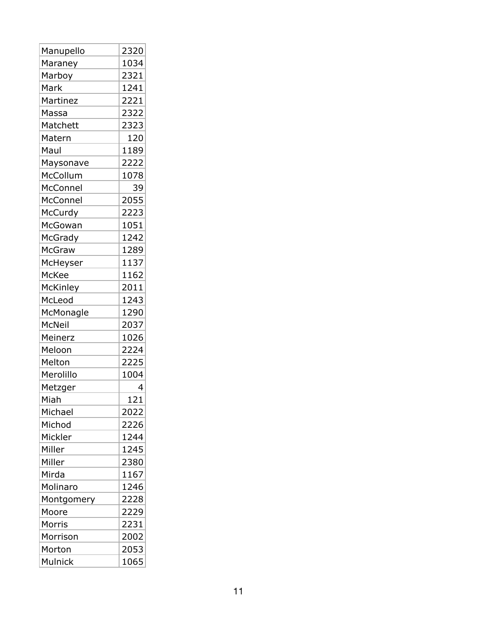| Manupello       | 2320 |
|-----------------|------|
| Maraney         | 1034 |
| Marboy          | 2321 |
| Mark            | 1241 |
| Martinez        | 2221 |
| Massa           | 2322 |
| Matchett        | 2323 |
| Matern          | 120  |
| Maul            | 1189 |
| Maysonave       | 2222 |
| McCollum        | 1078 |
| McConnel        | 39   |
| McConnel        | 2055 |
| McCurdy         | 2223 |
| McGowan         | 1051 |
| McGrady         | 1242 |
| <b>McGraw</b>   | 1289 |
| McHeyser        | 1137 |
| McKee           | 1162 |
| <b>McKinley</b> | 2011 |
| McLeod          | 1243 |
| McMonagle       | 1290 |
| <b>McNeil</b>   | 2037 |
| Meinerz         | 1026 |
| Meloon          | 2224 |
| Melton          | 2225 |
| Merolillo       | 1004 |
| Metzger         | 4    |
| Miah            | 121  |
| Michael         | 2022 |
| Michod          | 2226 |
| Mickler         | 1244 |
| Miller          | 1245 |
| Miller          | 2380 |
| Mirda           | 1167 |
| Molinaro        | 1246 |
| Montgomery      | 2228 |
| Moore           | 2229 |
| Morris          | 2231 |
| Morrison        | 2002 |
| Morton          | 2053 |
| Mulnick         | 1065 |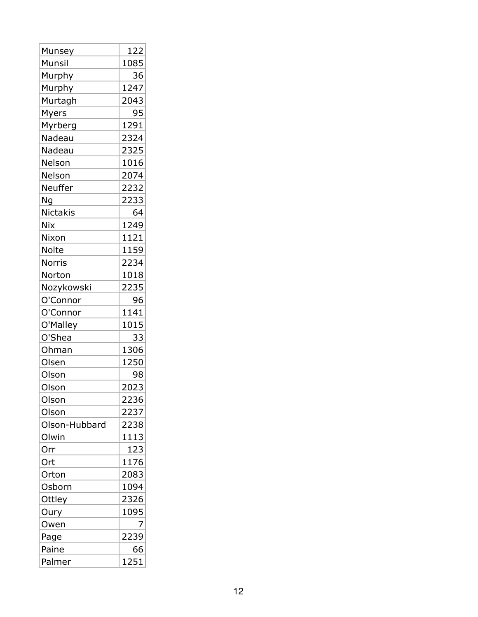| Munsey          | 122  |
|-----------------|------|
| Munsil          | 1085 |
| Murphy          | 36   |
| <b>Murphy</b>   | 1247 |
| Murtagh         | 2043 |
| Myers           | 95   |
| Myrberg         | 1291 |
| Nadeau          | 2324 |
| Nadeau          | 2325 |
| Nelson          | 1016 |
| Nelson          | 2074 |
| Neuffer         | 2232 |
| Ng              | 2233 |
| <b>Nictakis</b> | 64   |
| Nix             | 1249 |
| Nixon           | 1121 |
| <b>Nolte</b>    | 1159 |
| <b>Norris</b>   | 2234 |
| Norton          | 1018 |
| Nozykowski      | 2235 |
| O'Connor        | 96   |
| O'Connor        | 1141 |
| O'Malley        | 1015 |
| O'Shea          | 33   |
| Ohman           | 1306 |
| Olsen           | 1250 |
| Olson           | 98   |
| Olson           | 2023 |
| Olson           | 2236 |
| Olson           | 2237 |
| Olson-Hubbard   | 2238 |
| Olwin           | 1113 |
| Orr             | 123  |
| Ort             | 1176 |
| Orton           | 2083 |
| Osborn          | 1094 |
| Ottley          | 2326 |
| Oury            | 1095 |
| Owen            | 7    |
| Page            | 2239 |
| Paine           | 66   |
| Palmer          | 1251 |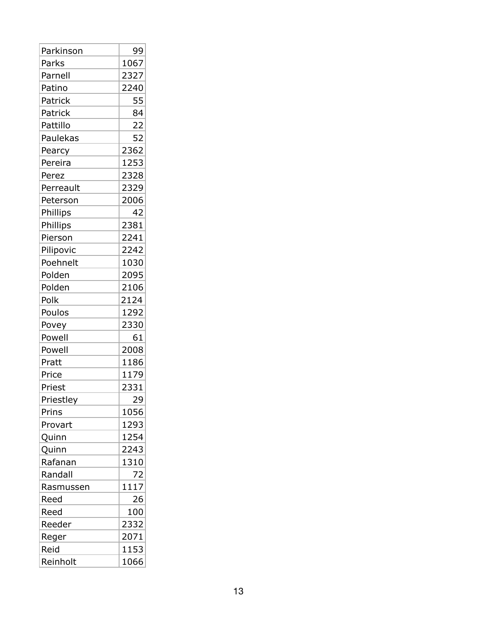| Parkinson | 99   |
|-----------|------|
| Parks     | 1067 |
| Parnell   | 2327 |
| Patino    | 2240 |
| Patrick   | 55   |
| Patrick   | 84   |
| Pattillo  | 22   |
| Paulekas  | 52   |
| Pearcy    | 2362 |
| Pereira   | 1253 |
| Perez     | 2328 |
| Perreault | 2329 |
| Peterson  | 2006 |
| Phillips  | 42   |
| Phillips  | 2381 |
| Pierson   | 2241 |
| Pilipovic | 2242 |
| Poehnelt  | 1030 |
| Polden    | 2095 |
| Polden    | 2106 |
| Polk      | 2124 |
| Poulos    | 1292 |
| Povey     | 2330 |
| Powell    | 61   |
| Powell    | 2008 |
| Pratt     | 1186 |
| Price     | 1179 |
| Priest    | 2331 |
| Priestley | 29   |
| Prins     | 1056 |
| Provart   | 1293 |
| Quinn     | 1254 |
| Quinn     | 2243 |
| Rafanan   | 1310 |
| Randall   | 72   |
| Rasmussen | 1117 |
| Reed      | 26   |
| Reed      | 100  |
| Reeder    | 2332 |
| Reger     | 2071 |
| Reid      | 1153 |
| Reinholt  | 1066 |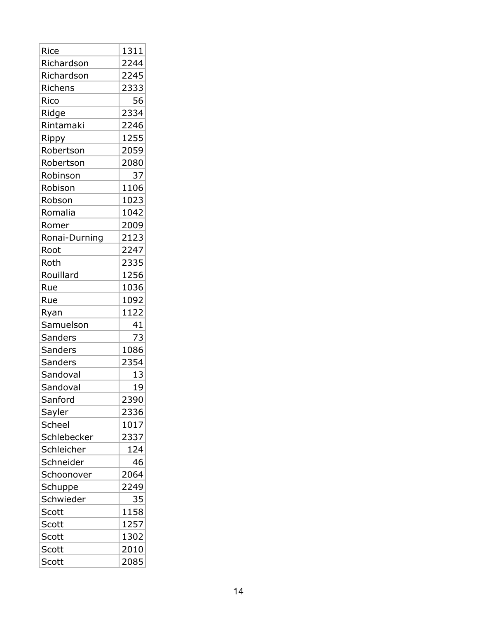| Rice           | 1311 |
|----------------|------|
| Richardson     | 2244 |
| Richardson     | 2245 |
| Richens        | 2333 |
| Rico           | 56   |
| Ridge          | 2334 |
| Rintamaki      | 2246 |
| Rippy          | 1255 |
| Robertson      | 2059 |
| Robertson      | 2080 |
| Robinson       | 37   |
| Robison        | 1106 |
| Robson         | 1023 |
| Romalia        | 1042 |
| Romer          | 2009 |
| Ronai-Durning  | 2123 |
| Root           | 2247 |
| Roth           | 2335 |
| Rouillard      | 1256 |
| Rue            | 1036 |
| Rue            | 1092 |
| Ryan           | 1122 |
| Samuelson      | 41   |
| <b>Sanders</b> | 73   |
| <b>Sanders</b> | 1086 |
| <b>Sanders</b> | 2354 |
| Sandoval       | 13   |
| Sandoval       | 19   |
| Sanford        | 2390 |
| Sayler         | 2336 |
| Scheel         | 1017 |
| Schlebecker    | 2337 |
| Schleicher     | 124  |
| Schneider      | 46   |
| Schoonover     | 2064 |
| Schuppe        | 2249 |
| Schwieder      | 35   |
| Scott          | 1158 |
| Scott          | 1257 |
| Scott          |      |
|                | 1302 |
| Scott          | 2010 |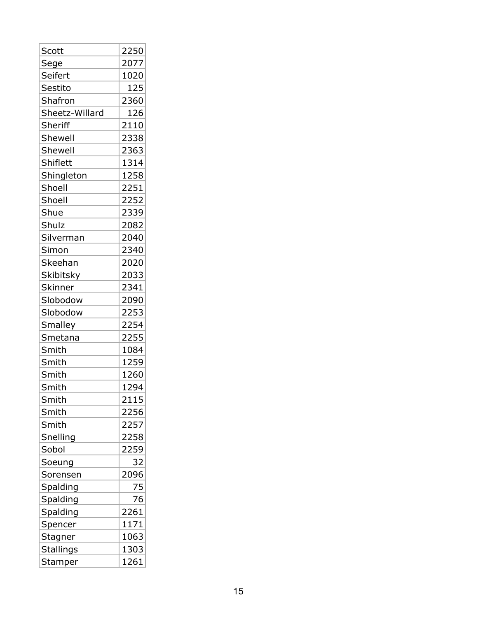| Scott            | 2250 |
|------------------|------|
| Sege             | 2077 |
| Seifert          | 1020 |
| Sestito          | 125  |
| Shafron          | 2360 |
| Sheetz-Willard   | 126  |
| Sheriff          | 2110 |
| Shewell          | 2338 |
| Shewell          | 2363 |
| Shiflett         | 1314 |
| Shingleton       | 1258 |
| Shoell           | 2251 |
| Shoell           | 2252 |
| Shue             | 2339 |
| Shulz            | 2082 |
| Silverman        | 2040 |
| Simon            | 2340 |
| Skeehan          | 2020 |
| Skibitsky        | 2033 |
| Skinner          | 2341 |
| Slobodow         | 2090 |
| Slobodow         | 2253 |
| Smalley          | 2254 |
| Smetana          | 2255 |
| Smith            | 1084 |
| Smith            | 1259 |
| Smith            | 1260 |
| Smith            | 1294 |
| Smith            | 2115 |
| Smith            | 2256 |
| Smith            | 2257 |
| Snelling         | 2258 |
| Sobol            | 2259 |
| Soeung           | 32   |
| Sorensen         | 2096 |
| Spalding         | 75   |
| Spalding         | 76   |
| Spalding         | 2261 |
| Spencer          | 1171 |
| Stagner          | 1063 |
| <b>Stallings</b> | 1303 |
| Stamper          | 1261 |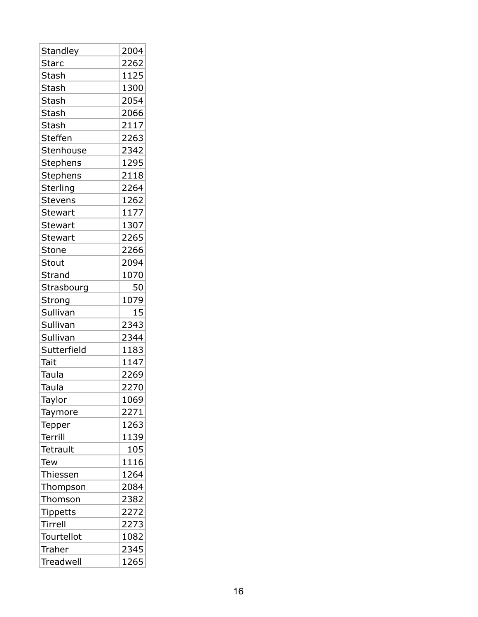| Standley        | 2004 |
|-----------------|------|
| <b>Starc</b>    | 2262 |
| Stash           | 1125 |
| Stash           | 1300 |
| <b>Stash</b>    | 2054 |
| Stash           | 2066 |
| Stash           | 2117 |
| <b>Steffen</b>  | 2263 |
| Stenhouse       | 2342 |
| Stephens        | 1295 |
| Stephens        | 2118 |
| Sterling        | 2264 |
| <b>Stevens</b>  | 1262 |
| <b>Stewart</b>  | 1177 |
| <b>Stewart</b>  | 1307 |
| <b>Stewart</b>  | 2265 |
| Stone           | 2266 |
| Stout           | 2094 |
| Strand          | 1070 |
| Strasbourg      | 50   |
| Strong          | 1079 |
| Sullivan        | 15   |
| Sullivan        | 2343 |
| Sullivan        | 2344 |
| Sutterfield     | 1183 |
| Tait            | 1147 |
| Taula           | 2269 |
| Taula           | 2270 |
| Taylor          | 1069 |
| Taymore         | 2271 |
| <b>Tepper</b>   | 1263 |
| Terrill         | 1139 |
| Tetrault        | 105  |
| <b>Tew</b>      | 1116 |
| Thiessen        | 1264 |
| Thompson        | 2084 |
| Thomson         | 2382 |
| <b>Tippetts</b> | 2272 |
| Tirrell         | 2273 |
| Tourtellot      | 1082 |
| Traher          | 2345 |
| Treadwell       | 1265 |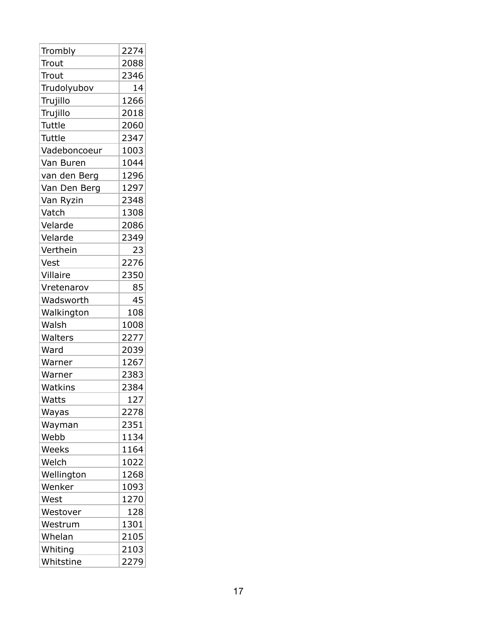| Trombly      | 2274 |
|--------------|------|
| Trout        | 2088 |
| Trout        | 2346 |
| Trudolyubov  | 14   |
| Trujillo     | 1266 |
| Trujillo     | 2018 |
| Tuttle       | 2060 |
| Tuttle       | 2347 |
| Vadeboncoeur | 1003 |
| Van Buren    | 1044 |
| van den Berg | 1296 |
| Van Den Berg | 1297 |
| Van Ryzin    | 2348 |
| Vatch        | 1308 |
| Velarde      | 2086 |
| Velarde      | 2349 |
| Verthein     | 23   |
| Vest         | 2276 |
| Villaire     | 2350 |
| Vretenarov   | 85   |
| Wadsworth    | 45   |
| Walkington   | 108  |
| Walsh        | 1008 |
| Walters      | 2277 |
| Ward         | 2039 |
| Warner       | 1267 |
| Warner       | 2383 |
| Watkins      | 2384 |
| Watts        | 127  |
| Wayas        | 2278 |
| Wayman       | 2351 |
| Webb         | 1134 |
| Weeks        | 1164 |
| Welch        | 1022 |
| Wellington   | 1268 |
| Wenker       | 1093 |
| West         | 1270 |
| Westover     | 128  |
| Westrum      | 1301 |
| Whelan       | 2105 |
| Whiting      | 2103 |
| Whitstine    | 2279 |